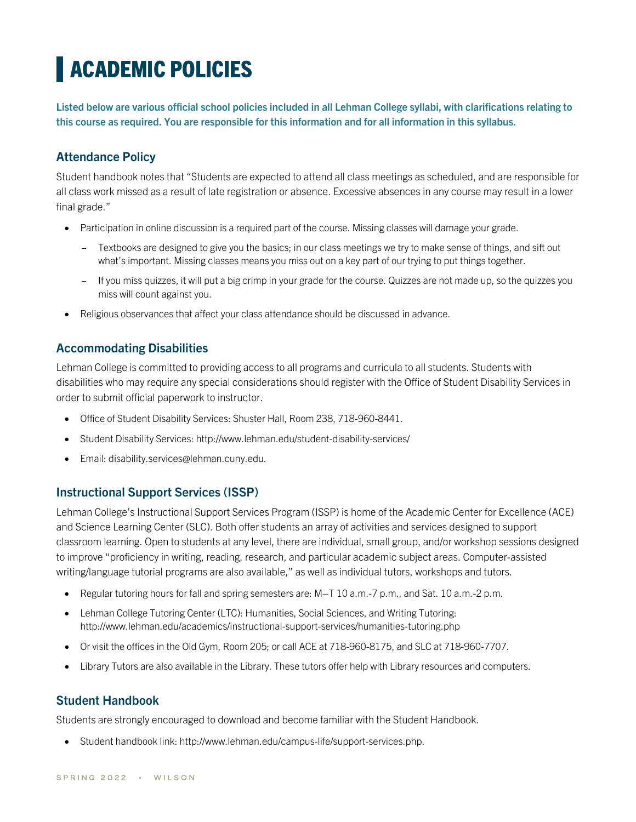# **ACADEMIC POLICIES**

**Listed below are various official school policies included in all Lehman College syllabi, with clarifications relating to this course as required. You are responsible for this information and for all information in this syllabus.**

# **Attendance Policy**

Student handbook notes that "Students are expected to attend all class meetings as scheduled, and are responsible for all class work missed as a result of late registration or absence. Excessive absences in any course may result in a lower final grade."

- Participation in online discussion is a required part of the course. Missing classes will damage your grade.
	- Textbooks are designed to give you the basics; in our class meetings we try to make sense of things, and sift out what's important. Missing classes means you miss out on a key part of our trying to put things together.
	- If you miss quizzes, it will put a big crimp in your grade for the course. Quizzes are not made up, so the quizzes you miss will count against you.
- Religious observances that affect your class attendance should be discussed in advance.

#### **Accommodating Disabilities**

Lehman College is committed to providing access to all programs and curricula to all students. Students with disabilities who may require any special considerations should register with the Office of Student Disability Services in order to submit official paperwork to instructor.

- Office of Student Disability Services: Shuster Hall, Room 238, 718-960-8441.
- Student Disability Services: http://www.lehman.edu/student-disability-services/
- Email: disability.services@lehman.cuny.edu.

#### **Instructional Support Services (ISSP)**

Lehman College's Instructional Support Services Program (ISSP) is home of the Academic Center for Excellence (ACE) and Science Learning Center (SLC). Both offer students an array of activities and services designed to support classroom learning. Open to students at any level, there are individual, small group, and/or workshop sessions designed to improve "proficiency in writing, reading, research, and particular academic subject areas. Computer-assisted writing/language tutorial programs are also available," as well as individual tutors, workshops and tutors.

- Regular tutoring hours for fall and spring semesters are: M–T 10 a.m.-7 p.m., and Sat. 10 a.m.-2 p.m.
- Lehman College Tutoring Center (LTC): Humanities, Social Sciences, and Writing Tutoring: http://www.lehman.edu/academics/instructional-support-services/humanities-tutoring.php
- Or visit the offices in the Old Gym, Room 205; or call ACE at 718-960-8175, and SLC at 718-960-7707.
- Library Tutors are also available in the Library. These tutors offer help with Library resources and computers.

#### **Student Handbook**

Students are strongly encouraged to download and become familiar with the Student Handbook.

• Student handbook link: http://www.lehman.edu/campus-life/support-services.php.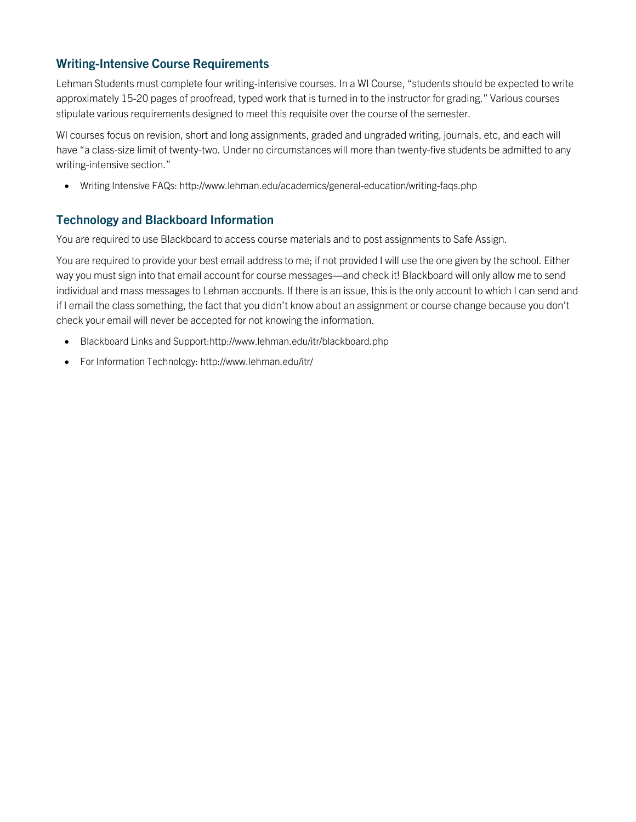# **Writing-Intensive Course Requirements**

Lehman Students must complete four writing-intensive courses. In a WI Course, "students should be expected to write approximately 15-20 pages of proofread, typed work that is turned in to the instructor for grading." Various courses stipulate various requirements designed to meet this requisite over the course of the semester.

WI courses focus on revision, short and long assignments, graded and ungraded writing, journals, etc, and each will have "a class-size limit of twenty-two. Under no circumstances will more than twenty-five students be admitted to any writing-intensive section."

• Writing Intensive FAQs: http://www.lehman.edu/academics/general-education/writing-faqs.php

#### **Technology and Blackboard Information**

You are required to use Blackboard to access course materials and to post assignments to Safe Assign.

You are required to provide your best email address to me; if not provided I will use the one given by the school. Either way you must sign into that email account for course messages—and check it! Blackboard will only allow me to send individual and mass messages to Lehman accounts. If there is an issue, this is the only account to which I can send and if I email the class something, the fact that you didn't know about an assignment or course change because you don't check your email will never be accepted for not knowing the information.

- Blackboard Links and Support:http://www.lehman.edu/itr/blackboard.php
- For Information Technology: http://www.lehman.edu/itr/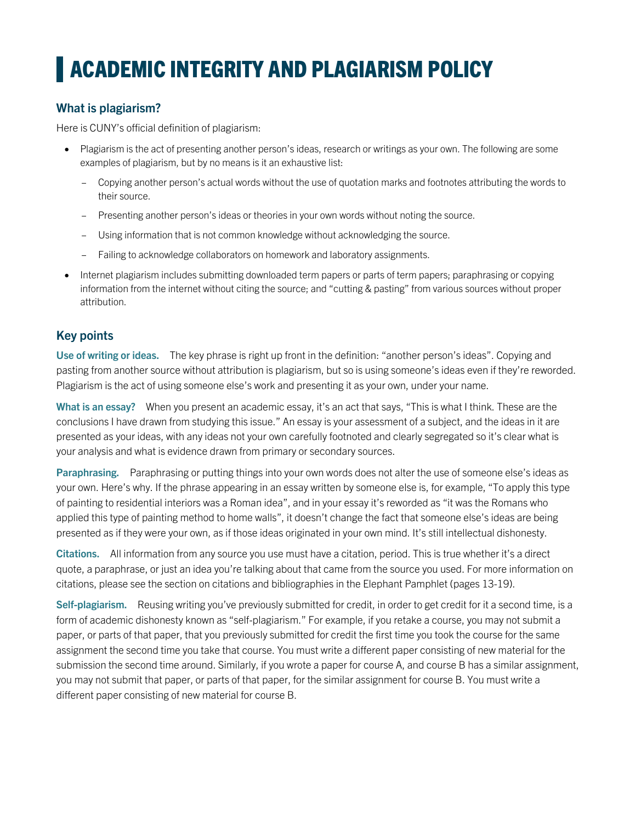# **ACADEMIC INTEGRITY AND PLAGIARISM POLICY**

### **What is plagiarism?**

Here is CUNY's official definition of plagiarism:

- Plagiarism is the act of presenting another person's ideas, research or writings as your own. The following are some examples of plagiarism, but by no means is it an exhaustive list:
	- Copying another person's actual words without the use of quotation marks and footnotes attributing the words to their source.
	- Presenting another person's ideas or theories in your own words without noting the source.
	- Using information that is not common knowledge without acknowledging the source.
	- Failing to acknowledge collaborators on homework and laboratory assignments.
- Internet plagiarism includes submitting downloaded term papers or parts of term papers; paraphrasing or copying information from the internet without citing the source; and "cutting & pasting" from various sources without proper attribution.

#### **Key points**

**Use of writing or ideas.** The key phrase is right up front in the definition: "another person's ideas". Copying and pasting from another source without attribution is plagiarism, but so is using someone's ideas even if they're reworded. Plagiarism is the act of using someone else's work and presenting it as your own, under your name.

**What is an essay?** When you present an academic essay, it's an act that says, "This is what I think. These are the conclusions I have drawn from studying this issue." An essay is your assessment of a subject, and the ideas in it are presented as your ideas, with any ideas not your own carefully footnoted and clearly segregated so it's clear what is your analysis and what is evidence drawn from primary or secondary sources.

**Paraphrasing.** Paraphrasing or putting things into your own words does not alter the use of someone else's ideas as your own. Here's why. If the phrase appearing in an essay written by someone else is, for example, "To apply this type of painting to residential interiors was a Roman idea", and in your essay it's reworded as "it was the Romans who applied this type of painting method to home walls", it doesn't change the fact that someone else's ideas are being presented as if they were your own, as if those ideas originated in your own mind. It's still intellectual dishonesty.

**Citations.** All information from any source you use must have a citation, period. This is true whether it's a direct quote, a paraphrase, or just an idea you're talking about that came from the source you used. For more information on citations, please see the section on citations and bibliographies in the Elephant Pamphlet (pages 13-19).

Self-plagiarism. Reusing writing you've previously submitted for credit, in order to get credit for it a second time, is a form of academic dishonesty known as "self-plagiarism." For example, if you retake a course, you may not submit a paper, or parts of that paper, that you previously submitted for credit the first time you took the course for the same assignment the second time you take that course. You must write a different paper consisting of new material for the submission the second time around. Similarly, if you wrote a paper for course A, and course B has a similar assignment, you may not submit that paper, or parts of that paper, for the similar assignment for course B. You must write a different paper consisting of new material for course B.